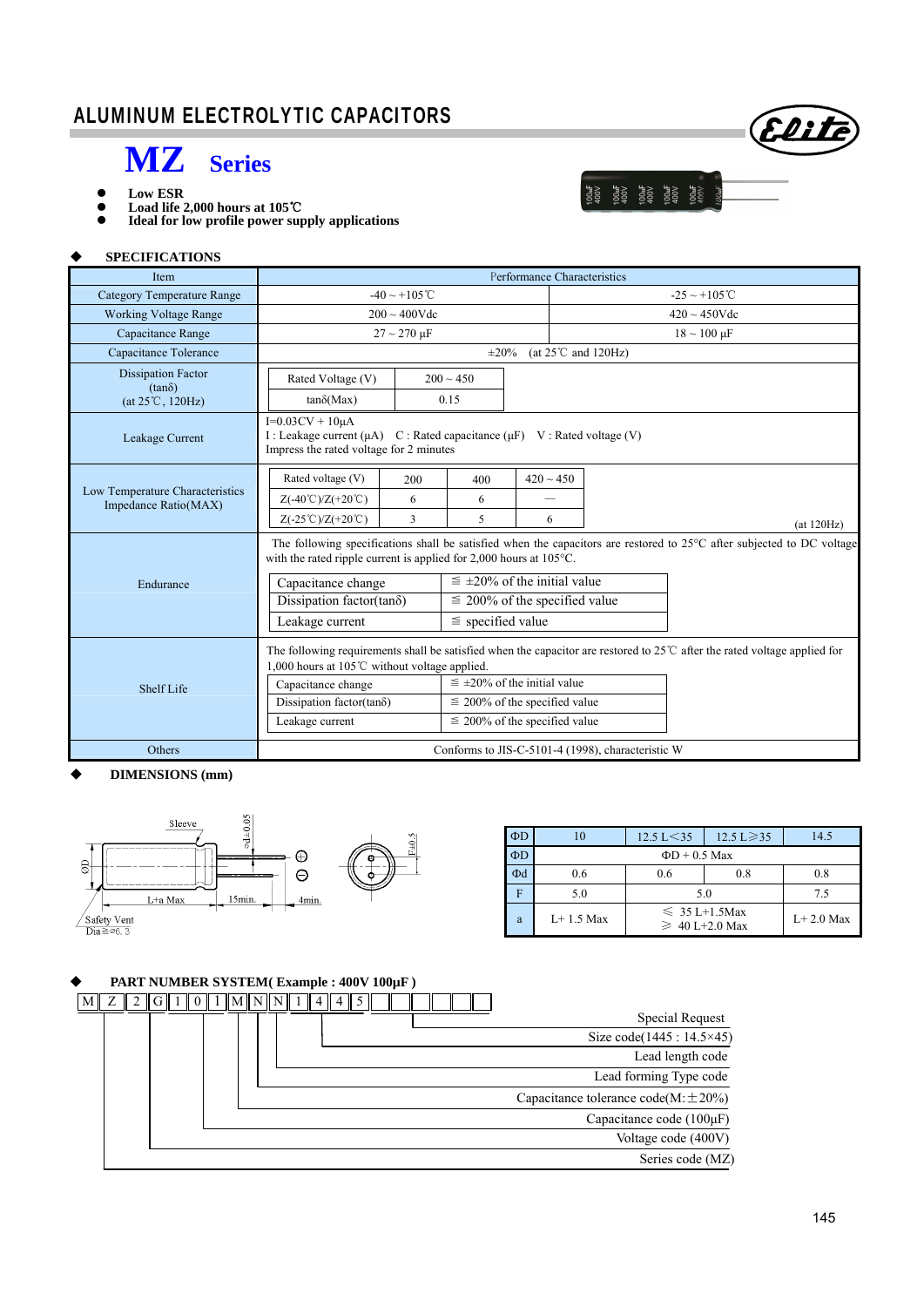## ALUMINUM ELECTROLYTIC CAPACITORS



1004<br>1004 1004 1004<br>1004 1004 1006 1007<br>1004 1004 1004

- **MZ Series**
- Low ESR<br>● Load life
- **Load life 2,000 hours at 105**℃ **Ideal for low profile power supply applications**

#### **SPECIFICATIONS**

I

| <b>Item</b>                                             | Performance Characteristics                                                                                                                                                                                                                                |                                      |                                    |                |                                   |  |            |  |
|---------------------------------------------------------|------------------------------------------------------------------------------------------------------------------------------------------------------------------------------------------------------------------------------------------------------------|--------------------------------------|------------------------------------|----------------|-----------------------------------|--|------------|--|
| Category Temperature Range                              | $-40 \sim +105$ °C                                                                                                                                                                                                                                         |                                      |                                    |                | $-25 \sim +105^{\circ}$ C         |  |            |  |
| <b>Working Voltage Range</b>                            | $200 \sim 400$ Vdc                                                                                                                                                                                                                                         |                                      |                                    |                | $420 \sim 450$ Vdc                |  |            |  |
| Capacitance Range                                       | $27 \sim 270 \text{ }\mu\text{F}$                                                                                                                                                                                                                          |                                      |                                    |                | $18 \sim 100 \text{ }\mu\text{F}$ |  |            |  |
| Capacitance Tolerance                                   | $(at 25^{\circ}C \text{ and } 120\text{Hz})$<br>$\pm 20\%$                                                                                                                                                                                                 |                                      |                                    |                |                                   |  |            |  |
| <b>Dissipation Factor</b><br>$(tan\delta)$              | Rated Voltage (V)                                                                                                                                                                                                                                          |                                      | $200 \sim 450$                     |                |                                   |  |            |  |
| $(at 25^{\circ}C, 120Hz)$                               | $tan\delta(Max)$                                                                                                                                                                                                                                           |                                      | 0.15                               |                |                                   |  |            |  |
| Leakage Current                                         | $I=0.03CV + 10\mu A$<br>I : Leakage current ( $\mu$ A) C : Rated capacitance ( $\mu$ F) V : Rated voltage (V)<br>Impress the rated voltage for 2 minutes                                                                                                   |                                      |                                    |                |                                   |  |            |  |
|                                                         | Rated voltage (V)                                                                                                                                                                                                                                          | 200                                  | 400                                | $420 \sim 450$ |                                   |  |            |  |
| Low Temperature Characteristics<br>Impedance Ratio(MAX) | $Z(-40^{\circ}\text{C})/Z(+20^{\circ}\text{C})$                                                                                                                                                                                                            | 6                                    | 6                                  |                |                                   |  |            |  |
|                                                         | $Z(-25^{\circ}\text{C})/Z(+20^{\circ}\text{C})$                                                                                                                                                                                                            | 3                                    | 5                                  | 6              |                                   |  | (at 120Hz) |  |
|                                                         | The following specifications shall be satisfied when the capacitors are restored to $25^{\circ}$ C after subjected to DC voltage<br>with the rated ripple current is applied for $2,000$ hours at $105^{\circ}$ C.                                         |                                      |                                    |                |                                   |  |            |  |
| Endurance                                               | Capacitance change                                                                                                                                                                                                                                         | $\leq \pm 20\%$ of the initial value |                                    |                |                                   |  |            |  |
|                                                         | Dissipation factor(tan $\delta$ )                                                                                                                                                                                                                          | $\leq$ 200% of the specified value   |                                    |                |                                   |  |            |  |
|                                                         | Leakage current                                                                                                                                                                                                                                            | $\le$ specified value                |                                    |                |                                   |  |            |  |
|                                                         | The following requirements shall be satisfied when the capacitor are restored to $25^{\circ}$ after the rated voltage applied for<br>1,000 hours at 105 $\degree$ C without voltage applied.<br>$\leq \pm 20\%$ of the initial value<br>Capacitance change |                                      |                                    |                |                                   |  |            |  |
| Shelf Life                                              | Dissipation factor(tan $\delta$ )                                                                                                                                                                                                                          |                                      | $\leq$ 200% of the specified value |                |                                   |  |            |  |
|                                                         | Leakage current                                                                                                                                                                                                                                            | $\leq$ 200% of the specified value   |                                    |                |                                   |  |            |  |
| Others                                                  | Conforms to JIS-C-5101-4 (1998), characteristic W                                                                                                                                                                                                          |                                      |                                    |                |                                   |  |            |  |

#### **DIMENSIONS (mm)**



| $\Phi$ D | 10            | $12.5 \text{ L} \geq 35$<br>$12.5 \text{ L} < 35$ |               | 14.5 |  |  |  |  |
|----------|---------------|---------------------------------------------------|---------------|------|--|--|--|--|
| ФD       |               | $\Phi$ D + 0.5 Max                                |               |      |  |  |  |  |
| Φd       | 0.6           | 0.6                                               | 0.8           | 0.8  |  |  |  |  |
| F        | 5.0           | 5.0                                               | 75            |      |  |  |  |  |
| a        | $I + 1.5$ Max | $\leq 35$ L+1.5Max<br>$\geq 40$ L+2.0 Max         | $I + 2.0$ Max |      |  |  |  |  |

#### **PART NUMBER SYSTEM( Example : 400V 100µF )**